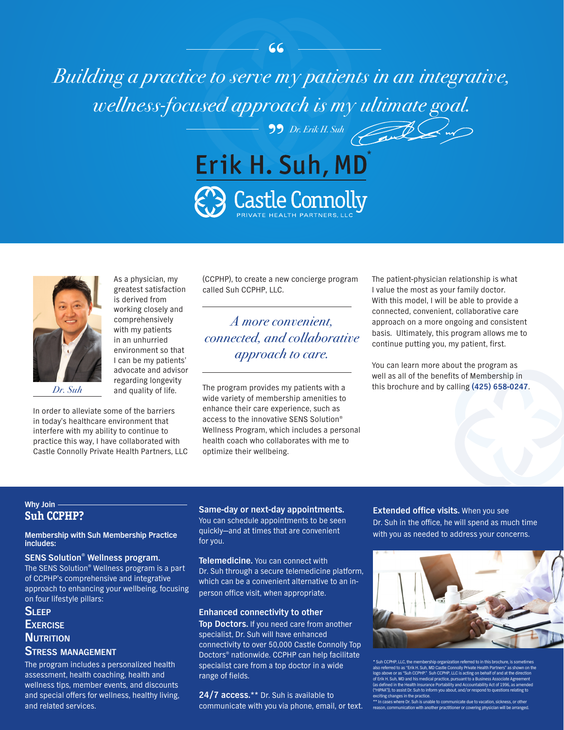*Building a practice to serve my patients in an integrative,* " *wellness-focused approach is my ultimate goal.* " *Dr. Erik H. Suh*





In order to alleviate some of the barriers in today's healthcare environment that interfere with my ability to continue to practice this way, I have collaborated with Castle Connolly Private Health Partners, LLC

As a physician, my greatest satisfaction is derived from working closely and comprehensively with my patients in an unhurried environment so that I can be my patients' advocate and advisor regarding longevity and quality of life.

(CCPHP), to create a new concierge program called Suh CCPHP, LLC.

### *A more convenient, connected, and collaborative approach to care.*

The program provides my patients with a wide variety of membership amenities to enhance their care experience, such as access to the innovative SENS Solution® Wellness Program, which includes a personal health coach who collaborates with me to optimize their wellbeing. *Dr. Suh* and quality of life. The program provides my patients with a this brochure and by calling **(425) 658-0247.** 

The patient-physician relationship is what I value the most as your family doctor. With this model, I will be able to provide a connected, convenient, collaborative care approach on a more ongoing and consistent basis. Ultimately, this program allows me to continue putting you, my patient, first.

You can learn more about the program as well as all of the benefits of Membership in

### **Why Join Suh CCPHP?**

#### **Membership with Suh Membership Practice includes:**

**SENS Solution® Wellness program.** The SENS Solution® Wellness program is a part of CCPHP's comprehensive and integrative approach to enhancing your wellbeing, focusing on four lifestyle pillars:

**Sleep Exercise NUTRITION** 

### **Stress management**

The program includes a personalized health assessment, health coaching, health and wellness tips, member events, and discounts and special offers for wellness, healthy living, and related services.

**Same-day or next-day appointments.** You can schedule appointments to be seen quickly—and at times that are convenient

**Telemedicine.** You can connect with Dr. Suh through a secure telemedicine platform, which can be a convenient alternative to an inperson office visit, when appropriate.

### **Enhanced connectivity to other**

for you.

**Top Doctors.** If you need care from another specialist, Dr. Suh will have enhanced connectivity to over 50,000 Castle Connolly Top Doctors® nationwide. CCPHP can help facilitate specialist care from a top doctor in a wide range of fields.

**24/7 access.**\*\* Dr. Suh is available to communicate with you via phone, email, or text.

**Extended office visits.** When you see Dr. Suh in the office, he will spend as much time with you as needed to address your concerns.



ip organization referred to in this brochure, is s red to as "Erik H. Suh, MD Castle Connolly Private Health Partners" as sho logo above or as "Suh CCPHP." Suh CCPHP, LLC is acting on behalf of and at the direction k H. Suh, MD and his medical practice, pursu as defined in the Health Insurance Portability and Accountability Act of 19 <sup>.</sup><br>"HIPAA")), to assist Dr. Suh to inform you aboi ng changes in the practice

\*\* In cases where Dr. Suh is unable to communicate due to vacation, sickness, or other reason, communication with another practitioner or covering physician will be arranged.